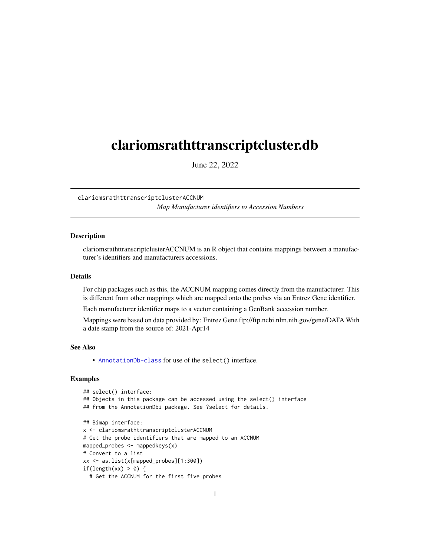# <span id="page-0-1"></span><span id="page-0-0"></span>clariomsrathttranscriptcluster.db

June 22, 2022

clariomsrathttranscriptclusterACCNUM *Map Manufacturer identifiers to Accession Numbers*

# **Description**

clariomsrathttranscriptclusterACCNUM is an R object that contains mappings between a manufacturer's identifiers and manufacturers accessions.

#### Details

For chip packages such as this, the ACCNUM mapping comes directly from the manufacturer. This is different from other mappings which are mapped onto the probes via an Entrez Gene identifier.

Each manufacturer identifier maps to a vector containing a GenBank accession number.

Mappings were based on data provided by: Entrez Gene ftp://ftp.ncbi.nlm.nih.gov/gene/DATA With a date stamp from the source of: 2021-Apr14

# See Also

• AnnotationDb-class for use of the select() interface.

```
## select() interface:
## Objects in this package can be accessed using the select() interface
## from the AnnotationDbi package. See ?select for details.
## Bimap interface:
x <- clariomsrathttranscriptclusterACCNUM
# Get the probe identifiers that are mapped to an ACCNUM
mapped_probes <- mappedkeys(x)
# Convert to a list
xx <- as.list(x[mapped_probes][1:300])
if(length(xx) > 0) {
 # Get the ACCNUM for the first five probes
```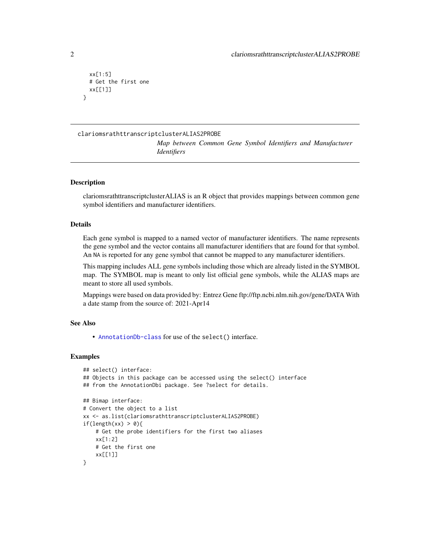```
xx[1:5]
 # Get the first one
 xx[[1]]
}
```
### clariomsrathttranscriptclusterALIAS2PROBE

*Map between Common Gene Symbol Identifiers and Manufacturer Identifiers*

# **Description**

clariomsrathttranscriptclusterALIAS is an R object that provides mappings between common gene symbol identifiers and manufacturer identifiers.

#### Details

Each gene symbol is mapped to a named vector of manufacturer identifiers. The name represents the gene symbol and the vector contains all manufacturer identifiers that are found for that symbol. An NA is reported for any gene symbol that cannot be mapped to any manufacturer identifiers.

This mapping includes ALL gene symbols including those which are already listed in the SYMBOL map. The SYMBOL map is meant to only list official gene symbols, while the ALIAS maps are meant to store all used symbols.

Mappings were based on data provided by: Entrez Gene ftp://ftp.ncbi.nlm.nih.gov/gene/DATA With a date stamp from the source of: 2021-Apr14

# See Also

• [AnnotationDb-class](#page-0-0) for use of the select() interface.

```
## select() interface:
## Objects in this package can be accessed using the select() interface
## from the AnnotationDbi package. See ?select for details.
## Bimap interface:
# Convert the object to a list
xx <- as.list(clariomsrathttranscriptclusterALIAS2PROBE)
if(length(xx) > 0){
   # Get the probe identifiers for the first two aliases
   xx[1:2]
   # Get the first one
    xx[[1]]
}
```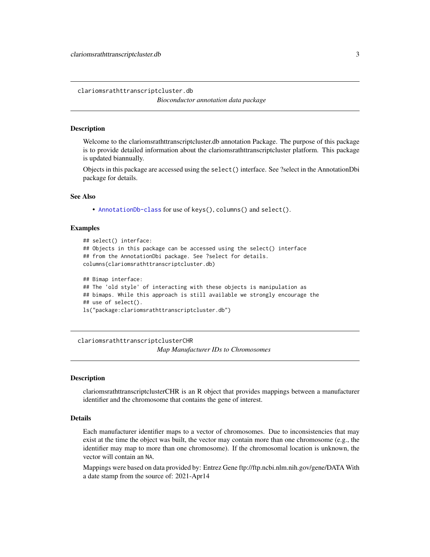<span id="page-2-0"></span>clariomsrathttranscriptcluster.db

*Bioconductor annotation data package*

#### **Description**

Welcome to the clariomsrathttranscriptcluster.db annotation Package. The purpose of this package is to provide detailed information about the clariomsrathttranscriptcluster platform. This package is updated biannually.

Objects in this package are accessed using the select() interface. See ?select in the AnnotationDbi package for details.

#### See Also

• [AnnotationDb-class](#page-0-0) for use of keys(), columns() and select().

#### Examples

```
## select() interface:
## Objects in this package can be accessed using the select() interface
## from the AnnotationDbi package. See ?select for details.
columns(clariomsrathttranscriptcluster.db)
## Bimap interface:
## The 'old style' of interacting with these objects is manipulation as
## bimaps. While this approach is still available we strongly encourage the
```

```
## use of select().
```
ls("package:clariomsrathttranscriptcluster.db")

clariomsrathttranscriptclusterCHR *Map Manufacturer IDs to Chromosomes*

#### Description

clariomsrathttranscriptclusterCHR is an R object that provides mappings between a manufacturer identifier and the chromosome that contains the gene of interest.

# Details

Each manufacturer identifier maps to a vector of chromosomes. Due to inconsistencies that may exist at the time the object was built, the vector may contain more than one chromosome (e.g., the identifier may map to more than one chromosome). If the chromosomal location is unknown, the vector will contain an NA.

Mappings were based on data provided by: Entrez Gene ftp://ftp.ncbi.nlm.nih.gov/gene/DATA With a date stamp from the source of: 2021-Apr14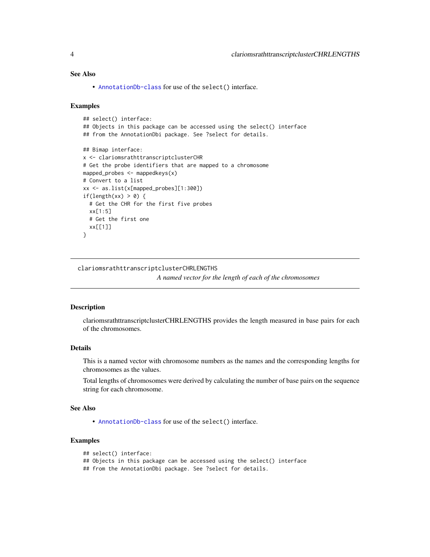# <span id="page-3-0"></span>See Also

• [AnnotationDb-class](#page-0-0) for use of the select() interface.

#### Examples

```
## select() interface:
## Objects in this package can be accessed using the select() interface
## from the AnnotationDbi package. See ?select for details.
## Bimap interface:
x <- clariomsrathttranscriptclusterCHR
# Get the probe identifiers that are mapped to a chromosome
mapped_probes <- mappedkeys(x)
# Convert to a list
xx <- as.list(x[mapped_probes][1:300])
if(length(xx) > 0) {
  # Get the CHR for the first five probes
  xx[1:5]
  # Get the first one
  xx[[1]]
}
```
clariomsrathttranscriptclusterCHRLENGTHS

*A named vector for the length of each of the chromosomes*

#### Description

clariomsrathttranscriptclusterCHRLENGTHS provides the length measured in base pairs for each of the chromosomes.

# Details

This is a named vector with chromosome numbers as the names and the corresponding lengths for chromosomes as the values.

Total lengths of chromosomes were derived by calculating the number of base pairs on the sequence string for each chromosome.

#### See Also

• [AnnotationDb-class](#page-0-0) for use of the select() interface.

# Examples

```
## select() interface:
```

```
## Objects in this package can be accessed using the select() interface
```
## from the AnnotationDbi package. See ?select for details.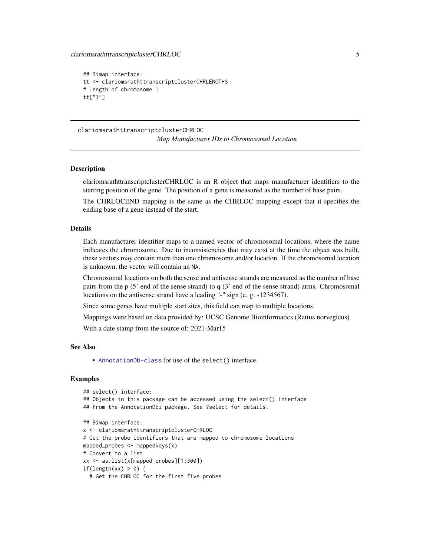```
## Bimap interface:
tt <- clariomsrathttranscriptclusterCHRLENGTHS
# Length of chromosome 1
tt["1"]
```
clariomsrathttranscriptclusterCHRLOC *Map Manufacturer IDs to Chromosomal Location*

#### Description

clariomsrathttranscriptclusterCHRLOC is an R object that maps manufacturer identifiers to the starting position of the gene. The position of a gene is measured as the number of base pairs.

The CHRLOCEND mapping is the same as the CHRLOC mapping except that it specifies the ending base of a gene instead of the start.

# Details

Each manufacturer identifier maps to a named vector of chromosomal locations, where the name indicates the chromosome. Due to inconsistencies that may exist at the time the object was built, these vectors may contain more than one chromosome and/or location. If the chromosomal location is unknown, the vector will contain an NA.

Chromosomal locations on both the sense and antisense strands are measured as the number of base pairs from the p (5' end of the sense strand) to q (3' end of the sense strand) arms. Chromosomal locations on the antisense strand have a leading "-" sign (e. g. -1234567).

Since some genes have multiple start sites, this field can map to multiple locations.

Mappings were based on data provided by: UCSC Genome Bioinformatics (Rattus norvegicus)

With a date stamp from the source of: 2021-Mar15

#### See Also

• [AnnotationDb-class](#page-0-0) for use of the select() interface.

```
## select() interface:
## Objects in this package can be accessed using the select() interface
## from the AnnotationDbi package. See ?select for details.
## Bimap interface:
x <- clariomsrathttranscriptclusterCHRLOC
# Get the probe identifiers that are mapped to chromosome locations
mapped_probes <- mappedkeys(x)
# Convert to a list
xx <- as.list(x[mapped_probes][1:300])
if(length(xx) > 0) {
 # Get the CHRLOC for the first five probes
```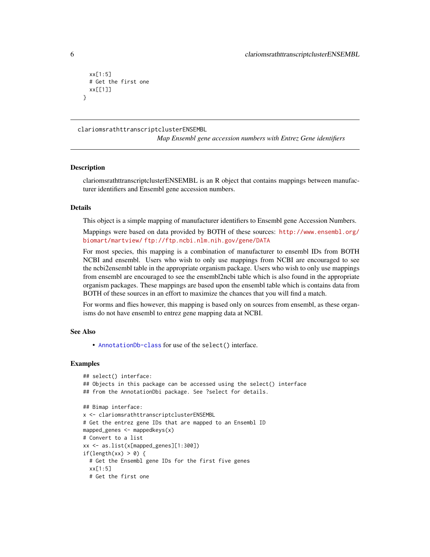```
xx[1:5]
 # Get the first one
 xx[[1]]
}
```
clariomsrathttranscriptclusterENSEMBL

*Map Ensembl gene accession numbers with Entrez Gene identifiers*

#### **Description**

clariomsrathttranscriptclusterENSEMBL is an R object that contains mappings between manufacturer identifiers and Ensembl gene accession numbers.

#### Details

This object is a simple mapping of manufacturer identifiers to Ensembl gene Accession Numbers.

Mappings were based on data provided by BOTH of these sources: [http://www.ensembl.org/](http://www.ensembl.org/biomart/martview/) [biomart/martview/](http://www.ensembl.org/biomart/martview/) <ftp://ftp.ncbi.nlm.nih.gov/gene/DATA>

For most species, this mapping is a combination of manufacturer to ensembl IDs from BOTH NCBI and ensembl. Users who wish to only use mappings from NCBI are encouraged to see the ncbi2ensembl table in the appropriate organism package. Users who wish to only use mappings from ensembl are encouraged to see the ensembl2ncbi table which is also found in the appropriate organism packages. These mappings are based upon the ensembl table which is contains data from BOTH of these sources in an effort to maximize the chances that you will find a match.

For worms and flies however, this mapping is based only on sources from ensembl, as these organisms do not have ensembl to entrez gene mapping data at NCBI.

#### See Also

• [AnnotationDb-class](#page-0-0) for use of the select() interface.

```
## select() interface:
## Objects in this package can be accessed using the select() interface
## from the AnnotationDbi package. See ?select for details.
## Bimap interface:
x <- clariomsrathttranscriptclusterENSEMBL
# Get the entrez gene IDs that are mapped to an Ensembl ID
mapped_genes <- mappedkeys(x)
# Convert to a list
xx <- as.list(x[mapped_genes][1:300])
if(length(xx) > 0) {
 # Get the Ensembl gene IDs for the first five genes
 xx[1:5]
 # Get the first one
```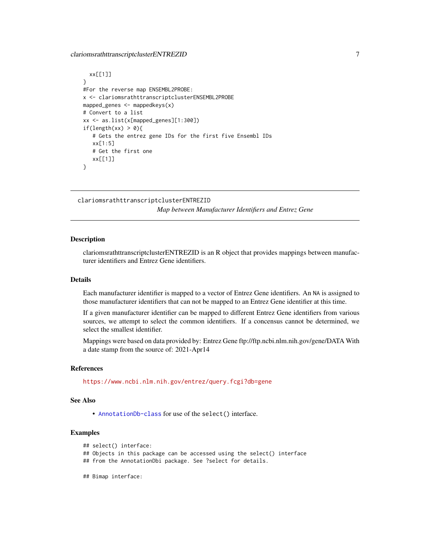# <span id="page-6-0"></span>clariomsrathttranscriptclusterENTREZID 7

```
xx[[1]]
}
#For the reverse map ENSEMBL2PROBE:
x <- clariomsrathttranscriptclusterENSEMBL2PROBE
mapped_genes <- mappedkeys(x)
# Convert to a list
xx <- as.list(x[mapped_genes][1:300])
if(length(xx) > 0){
   # Gets the entrez gene IDs for the first five Ensembl IDs
   xx[1:5]
   # Get the first one
   xx[[1]]
}
```
clariomsrathttranscriptclusterENTREZID *Map between Manufacturer Identifiers and Entrez Gene*

#### Description

clariomsrathttranscriptclusterENTREZID is an R object that provides mappings between manufacturer identifiers and Entrez Gene identifiers.

# Details

Each manufacturer identifier is mapped to a vector of Entrez Gene identifiers. An NA is assigned to those manufacturer identifiers that can not be mapped to an Entrez Gene identifier at this time.

If a given manufacturer identifier can be mapped to different Entrez Gene identifiers from various sources, we attempt to select the common identifiers. If a concensus cannot be determined, we select the smallest identifier.

Mappings were based on data provided by: Entrez Gene ftp://ftp.ncbi.nlm.nih.gov/gene/DATA With a date stamp from the source of: 2021-Apr14

#### References

<https://www.ncbi.nlm.nih.gov/entrez/query.fcgi?db=gene>

#### See Also

• [AnnotationDb-class](#page-0-0) for use of the select() interface.

# Examples

```
## select() interface:
```
## Objects in this package can be accessed using the select() interface

- ## from the AnnotationDbi package. See ?select for details.
- ## Bimap interface: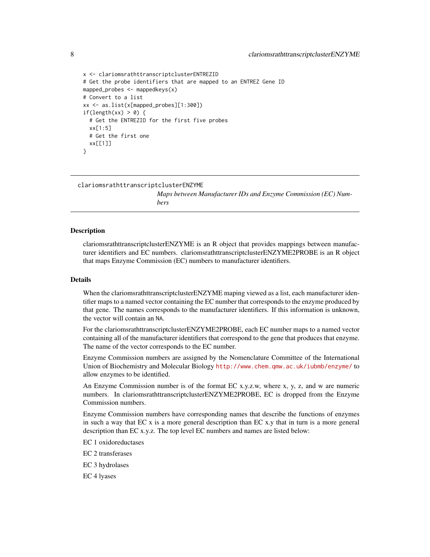```
x <- clariomsrathttranscriptclusterENTREZID
# Get the probe identifiers that are mapped to an ENTREZ Gene ID
mapped_probes <- mappedkeys(x)
# Convert to a list
xx <- as.list(x[mapped_probes][1:300])
if(length(xx) > 0) {
 # Get the ENTREZID for the first five probes
 xx[1:5]
 # Get the first one
 xx[[1]]
}
```
clariomsrathttranscriptclusterENZYME

*Maps between Manufacturer IDs and Enzyme Commission (EC) Numbers*

#### Description

clariomsrathttranscriptclusterENZYME is an R object that provides mappings between manufacturer identifiers and EC numbers. clariomsrathttranscriptclusterENZYME2PROBE is an R object that maps Enzyme Commission (EC) numbers to manufacturer identifiers.

#### Details

When the clariomsrathttranscriptclusterENZYME maping viewed as a list, each manufacturer identifier maps to a named vector containing the EC number that corresponds to the enzyme produced by that gene. The names corresponds to the manufacturer identifiers. If this information is unknown, the vector will contain an NA.

For the clariomsrathttranscriptclusterENZYME2PROBE, each EC number maps to a named vector containing all of the manufacturer identifiers that correspond to the gene that produces that enzyme. The name of the vector corresponds to the EC number.

Enzyme Commission numbers are assigned by the Nomenclature Committee of the International Union of Biochemistry and Molecular Biology <http://www.chem.qmw.ac.uk/iubmb/enzyme/> to allow enzymes to be identified.

An Enzyme Commission number is of the format EC x.y.z.w, where x, y, z, and w are numeric numbers. In clariomsrathttranscriptclusterENZYME2PROBE, EC is dropped from the Enzyme Commission numbers.

Enzyme Commission numbers have corresponding names that describe the functions of enzymes in such a way that  $ECx$  is a more general description than  $ECx$ , y that in turn is a more general description than EC x.y.z. The top level EC numbers and names are listed below:

EC 1 oxidoreductases

EC 2 transferases

EC 3 hydrolases

EC 4 lyases

<span id="page-7-0"></span>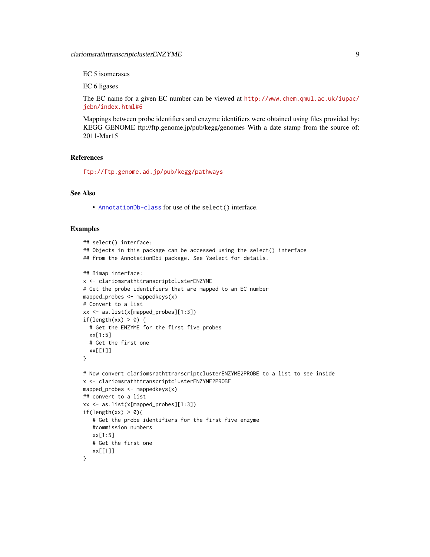EC 5 isomerases

EC 6 ligases

The EC name for a given EC number can be viewed at [http://www.chem.qmul.ac.uk/iupac/](http://www.chem.qmul.ac.uk/iupac/jcbn/index.html#6) [jcbn/index.html#6](http://www.chem.qmul.ac.uk/iupac/jcbn/index.html#6)

Mappings between probe identifiers and enzyme identifiers were obtained using files provided by: KEGG GENOME ftp://ftp.genome.jp/pub/kegg/genomes With a date stamp from the source of: 2011-Mar15

# References

<ftp://ftp.genome.ad.jp/pub/kegg/pathways>

# See Also

• [AnnotationDb-class](#page-0-0) for use of the select() interface.

```
## select() interface:
## Objects in this package can be accessed using the select() interface
## from the AnnotationDbi package. See ?select for details.
## Bimap interface:
x <- clariomsrathttranscriptclusterENZYME
# Get the probe identifiers that are mapped to an EC number
mapped_probes <- mappedkeys(x)
# Convert to a list
xx <- as.list(x[mapped_probes][1:3])
if(length(xx) > 0) {
  # Get the ENZYME for the first five probes
  xx[1:5]
  # Get the first one
  xx[[1]]
}
# Now convert clariomsrathttranscriptclusterENZYME2PROBE to a list to see inside
x <- clariomsrathttranscriptclusterENZYME2PROBE
mapped_probes <- mappedkeys(x)
## convert to a list
xx <- as.list(x[mapped_probes][1:3])
if(length(xx) > 0){
   # Get the probe identifiers for the first five enzyme
   #commission numbers
   xx[1:5]
   # Get the first one
   xx[[1]]
}
```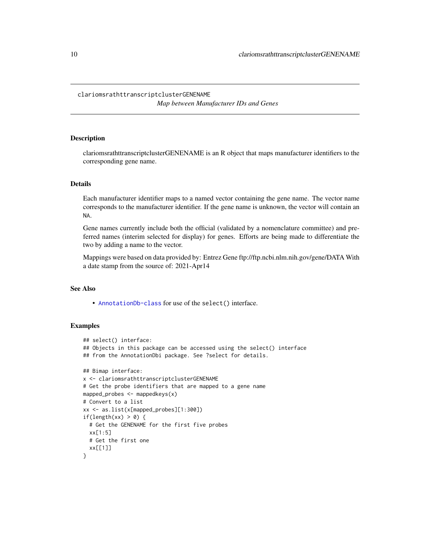# <span id="page-9-0"></span>clariomsrathttranscriptclusterGENENAME *Map between Manufacturer IDs and Genes*

# Description

clariomsrathttranscriptclusterGENENAME is an R object that maps manufacturer identifiers to the corresponding gene name.

#### Details

Each manufacturer identifier maps to a named vector containing the gene name. The vector name corresponds to the manufacturer identifier. If the gene name is unknown, the vector will contain an NA.

Gene names currently include both the official (validated by a nomenclature committee) and preferred names (interim selected for display) for genes. Efforts are being made to differentiate the two by adding a name to the vector.

Mappings were based on data provided by: Entrez Gene ftp://ftp.ncbi.nlm.nih.gov/gene/DATA With a date stamp from the source of: 2021-Apr14

# See Also

• [AnnotationDb-class](#page-0-0) for use of the select() interface.

```
## select() interface:
## Objects in this package can be accessed using the select() interface
## from the AnnotationDbi package. See ?select for details.
## Bimap interface:
x <- clariomsrathttranscriptclusterGENENAME
# Get the probe identifiers that are mapped to a gene name
mapped_probes <- mappedkeys(x)
# Convert to a list
xx <- as.list(x[mapped_probes][1:300])
if(length(xx) > 0) {
  # Get the GENENAME for the first five probes
  xx[1:5]
  # Get the first one
  xx[[1]]
}
```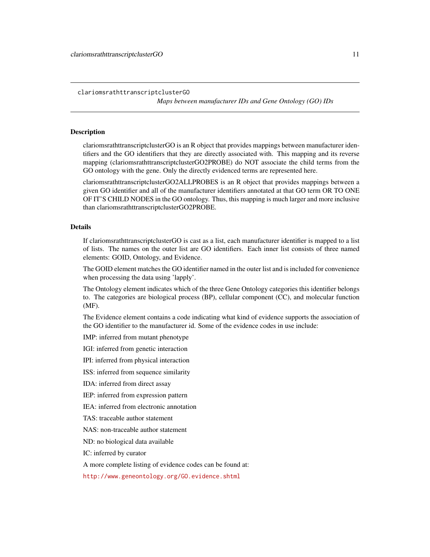<span id="page-10-1"></span>clariomsrathttranscriptclusterGO

*Maps between manufacturer IDs and Gene Ontology (GO) IDs*

#### <span id="page-10-0"></span>Description

clariomsrathttranscriptclusterGO is an R object that provides mappings between manufacturer identifiers and the GO identifiers that they are directly associated with. This mapping and its reverse mapping (clariomsrathttranscriptclusterGO2PROBE) do NOT associate the child terms from the GO ontology with the gene. Only the directly evidenced terms are represented here.

clariomsrathttranscriptclusterGO2ALLPROBES is an R object that provides mappings between a given GO identifier and all of the manufacturer identifiers annotated at that GO term OR TO ONE OF IT'S CHILD NODES in the GO ontology. Thus, this mapping is much larger and more inclusive than clariomsrathttranscriptclusterGO2PROBE.

#### Details

If clariomsrathttranscriptclusterGO is cast as a list, each manufacturer identifier is mapped to a list of lists. The names on the outer list are GO identifiers. Each inner list consists of three named elements: GOID, Ontology, and Evidence.

The GOID element matches the GO identifier named in the outer list and is included for convenience when processing the data using 'lapply'.

The Ontology element indicates which of the three Gene Ontology categories this identifier belongs to. The categories are biological process (BP), cellular component (CC), and molecular function (MF).

The Evidence element contains a code indicating what kind of evidence supports the association of the GO identifier to the manufacturer id. Some of the evidence codes in use include:

IMP: inferred from mutant phenotype

IGI: inferred from genetic interaction

IPI: inferred from physical interaction

ISS: inferred from sequence similarity

IDA: inferred from direct assay

IEP: inferred from expression pattern

IEA: inferred from electronic annotation

TAS: traceable author statement

NAS: non-traceable author statement

ND: no biological data available

IC: inferred by curator

A more complete listing of evidence codes can be found at:

<http://www.geneontology.org/GO.evidence.shtml>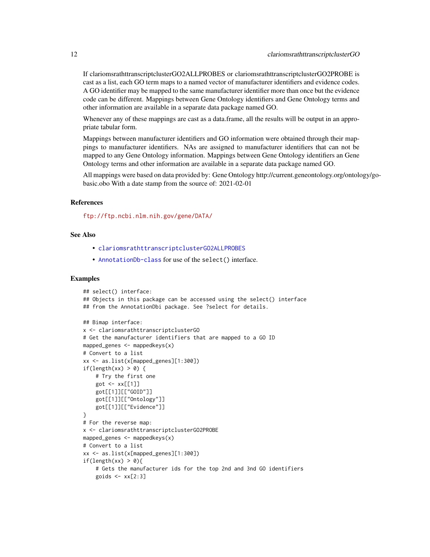<span id="page-11-0"></span>If clariomsrathttranscriptclusterGO2ALLPROBES or clariomsrathttranscriptclusterGO2PROBE is cast as a list, each GO term maps to a named vector of manufacturer identifiers and evidence codes. A GO identifier may be mapped to the same manufacturer identifier more than once but the evidence code can be different. Mappings between Gene Ontology identifiers and Gene Ontology terms and other information are available in a separate data package named GO.

Whenever any of these mappings are cast as a data.frame, all the results will be output in an appropriate tabular form.

Mappings between manufacturer identifiers and GO information were obtained through their mappings to manufacturer identifiers. NAs are assigned to manufacturer identifiers that can not be mapped to any Gene Ontology information. Mappings between Gene Ontology identifiers an Gene Ontology terms and other information are available in a separate data package named GO.

All mappings were based on data provided by: Gene Ontology http://current.geneontology.org/ontology/gobasic.obo With a date stamp from the source of: 2021-02-01

# References

<ftp://ftp.ncbi.nlm.nih.gov/gene/DATA/>

#### See Also

- [clariomsrathttranscriptclusterGO2ALLPROBES](#page-10-0)
- [AnnotationDb-class](#page-0-0) for use of the select() interface.

```
## select() interface:
## Objects in this package can be accessed using the select() interface
## from the AnnotationDbi package. See ?select for details.
## Bimap interface:
x <- clariomsrathttranscriptclusterGO
# Get the manufacturer identifiers that are mapped to a GO ID
mapped_genes \leq mappedkeys(x)
# Convert to a list
xx <- as.list(x[mapped_genes][1:300])
if(length(xx) > 0) {
    # Try the first one
    got \leftarrow xx[[1]]got[[1]][["GOID"]]
    got[[1]][["Ontology"]]
    got[[1]][["Evidence"]]
}
# For the reverse map:
x <- clariomsrathttranscriptclusterGO2PROBE
mapped_genes <- mappedkeys(x)
# Convert to a list
xx <- as.list(x[mapped_genes][1:300])
if(length(xx) > 0){
    # Gets the manufacturer ids for the top 2nd and 3nd GO identifiers
    goids \leq -x \times [2:3]
```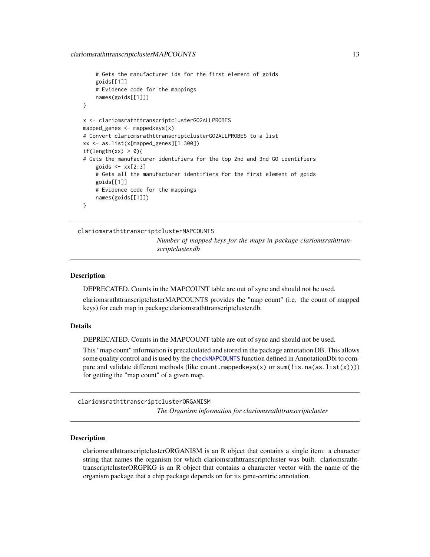```
# Gets the manufacturer ids for the first element of goids
    goids[[1]]
    # Evidence code for the mappings
   names(goids[[1]])
}
x <- clariomsrathttranscriptclusterGO2ALLPROBES
mapped_genes <- mappedkeys(x)
# Convert clariomsrathttranscriptclusterGO2ALLPROBES to a list
xx <- as.list(x[mapped_genes][1:300])
if(length(xx) > 0){
# Gets the manufacturer identifiers for the top 2nd and 3nd GO identifiers
    goids \leq -x \times [2:3]# Gets all the manufacturer identifiers for the first element of goids
    goids[[1]]
    # Evidence code for the mappings
   names(goids[[1]])
}
```
clariomsrathttranscriptclusterMAPCOUNTS *Number of mapped keys for the maps in package clariomsrathttranscriptcluster.db*

#### **Description**

DEPRECATED. Counts in the MAPCOUNT table are out of sync and should not be used.

clariomsrathttranscriptclusterMAPCOUNTS provides the "map count" (i.e. the count of mapped keys) for each map in package clariomsrathttranscriptcluster.db.

#### Details

DEPRECATED. Counts in the MAPCOUNT table are out of sync and should not be used.

This "map count" information is precalculated and stored in the package annotation DB. This allows some quality control and is used by the [checkMAPCOUNTS](#page-0-0) function defined in AnnotationDbi to compare and validate different methods (like count.mappedkeys(x) or sum(!is.na(as.list(x)))) for getting the "map count" of a given map.

clariomsrathttranscriptclusterORGANISM *The Organism information for clariomsrathttranscriptcluster*

Description

clariomsrathttranscriptclusterORGANISM is an R object that contains a single item: a character string that names the organism for which clariomsrathttranscriptcluster was built. clariomsrathttranscriptclusterORGPKG is an R object that contains a chararcter vector with the name of the organism package that a chip package depends on for its gene-centric annotation.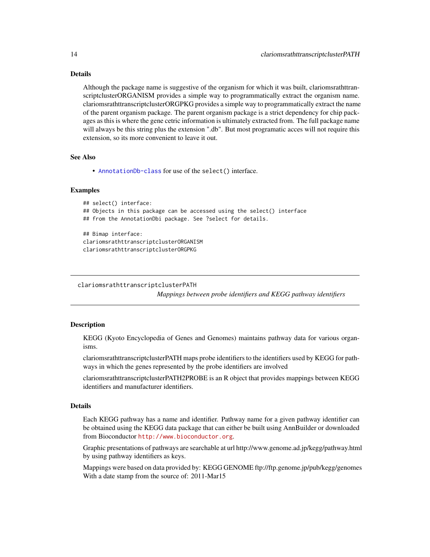# <span id="page-13-0"></span>Details

Although the package name is suggestive of the organism for which it was built, clariomsrathttranscriptclusterORGANISM provides a simple way to programmatically extract the organism name. clariomsrathttranscriptclusterORGPKG provides a simple way to programmatically extract the name of the parent organism package. The parent organism package is a strict dependency for chip packages as this is where the gene cetric information is ultimately extracted from. The full package name will always be this string plus the extension ".db". But most programatic acces will not require this extension, so its more convenient to leave it out.

#### See Also

• [AnnotationDb-class](#page-0-0) for use of the select() interface.

#### Examples

```
## select() interface:
## Objects in this package can be accessed using the select() interface
## from the AnnotationDbi package. See ?select for details.
## Bimap interface:
clariomsrathttranscriptclusterORGANISM
clariomsrathttranscriptclusterORGPKG
```

```
clariomsrathttranscriptclusterPATH
```
*Mappings between probe identifiers and KEGG pathway identifiers*

# Description

KEGG (Kyoto Encyclopedia of Genes and Genomes) maintains pathway data for various organisms.

clariomsrathttranscriptclusterPATH maps probe identifiers to the identifiers used by KEGG for pathways in which the genes represented by the probe identifiers are involved

clariomsrathttranscriptclusterPATH2PROBE is an R object that provides mappings between KEGG identifiers and manufacturer identifiers.

# Details

Each KEGG pathway has a name and identifier. Pathway name for a given pathway identifier can be obtained using the KEGG data package that can either be built using AnnBuilder or downloaded from Bioconductor <http://www.bioconductor.org>.

Graphic presentations of pathways are searchable at url http://www.genome.ad.jp/kegg/pathway.html by using pathway identifiers as keys.

Mappings were based on data provided by: KEGG GENOME ftp://ftp.genome.jp/pub/kegg/genomes With a date stamp from the source of: 2011-Mar15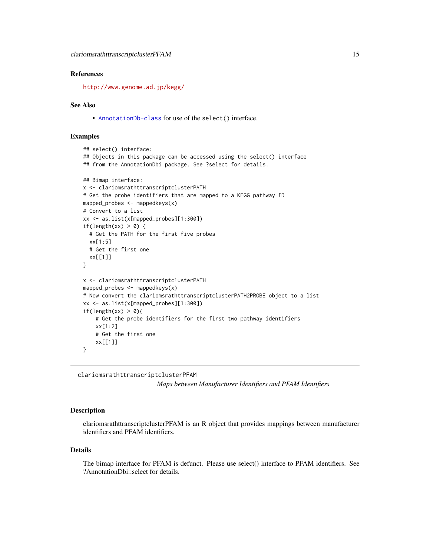#### <span id="page-14-0"></span>References

<http://www.genome.ad.jp/kegg/>

#### See Also

• [AnnotationDb-class](#page-0-0) for use of the select() interface.

#### Examples

```
## select() interface:
## Objects in this package can be accessed using the select() interface
## from the AnnotationDbi package. See ?select for details.
## Bimap interface:
x <- clariomsrathttranscriptclusterPATH
# Get the probe identifiers that are mapped to a KEGG pathway ID
mapped_probes <- mappedkeys(x)
# Convert to a list
xx <- as.list(x[mapped_probes][1:300])
if(length(xx) > 0) {
  # Get the PATH for the first five probes
  xx[1:5]
  # Get the first one
  xx[[1]]
}
x <- clariomsrathttranscriptclusterPATH
mapped_probes <- mappedkeys(x)
# Now convert the clariomsrathttranscriptclusterPATH2PROBE object to a list
xx <- as.list(x[mapped_probes][1:300])
if(length(xx) > 0){
    # Get the probe identifiers for the first two pathway identifiers
    xx[1:2]
    # Get the first one
    xx[[1]]
}
```
clariomsrathttranscriptclusterPFAM

*Maps between Manufacturer Identifiers and PFAM Identifiers*

#### **Description**

clariomsrathttranscriptclusterPFAM is an R object that provides mappings between manufacturer identifiers and PFAM identifiers.

#### Details

The bimap interface for PFAM is defunct. Please use select() interface to PFAM identifiers. See ?AnnotationDbi::select for details.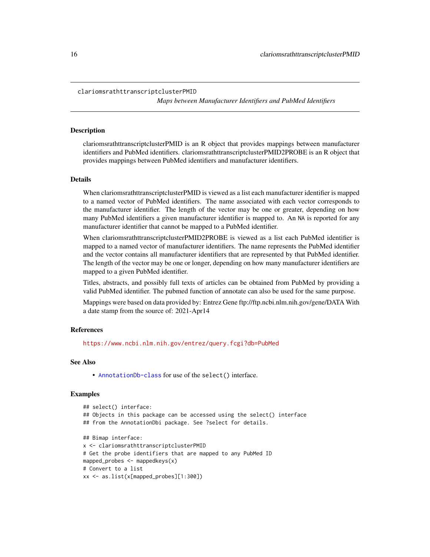<span id="page-15-0"></span>clariomsrathttranscriptclusterPMID

*Maps between Manufacturer Identifiers and PubMed Identifiers*

#### **Description**

clariomsrathttranscriptclusterPMID is an R object that provides mappings between manufacturer identifiers and PubMed identifiers. clariomsrathttranscriptclusterPMID2PROBE is an R object that provides mappings between PubMed identifiers and manufacturer identifiers.

#### Details

When clariomsrathttranscriptclusterPMID is viewed as a list each manufacturer identifier is mapped to a named vector of PubMed identifiers. The name associated with each vector corresponds to the manufacturer identifier. The length of the vector may be one or greater, depending on how many PubMed identifiers a given manufacturer identifier is mapped to. An NA is reported for any manufacturer identifier that cannot be mapped to a PubMed identifier.

When clariomsrathttranscriptclusterPMID2PROBE is viewed as a list each PubMed identifier is mapped to a named vector of manufacturer identifiers. The name represents the PubMed identifier and the vector contains all manufacturer identifiers that are represented by that PubMed identifier. The length of the vector may be one or longer, depending on how many manufacturer identifiers are mapped to a given PubMed identifier.

Titles, abstracts, and possibly full texts of articles can be obtained from PubMed by providing a valid PubMed identifier. The pubmed function of annotate can also be used for the same purpose.

Mappings were based on data provided by: Entrez Gene ftp://ftp.ncbi.nlm.nih.gov/gene/DATA With a date stamp from the source of: 2021-Apr14

#### References

<https://www.ncbi.nlm.nih.gov/entrez/query.fcgi?db=PubMed>

### See Also

• [AnnotationDb-class](#page-0-0) for use of the select() interface.

```
## select() interface:
## Objects in this package can be accessed using the select() interface
## from the AnnotationDbi package. See ?select for details.
## Bimap interface:
x <- clariomsrathttranscriptclusterPMID
# Get the probe identifiers that are mapped to any PubMed ID
mapped_probes <- mappedkeys(x)
# Convert to a list
xx <- as.list(x[mapped_probes][1:300])
```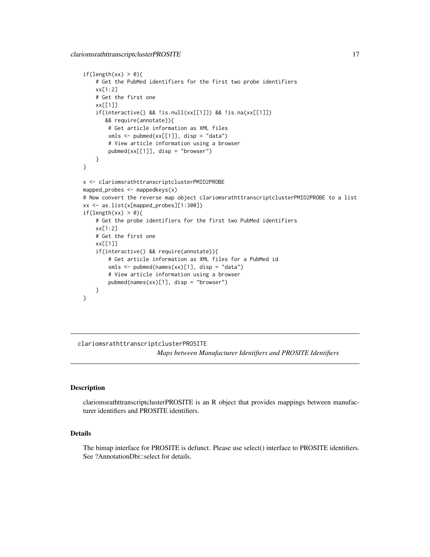```
if(length(xx) > 0){
    # Get the PubMed identifiers for the first two probe identifiers
   xx[1:2]
   # Get the first one
   xx[[1]]
    if(interactive() && !is.null(xx[[1]]) && !is.na(xx[[1]])
      && require(annotate)){
       # Get article information as XML files
       xmls < -pubmed(xx[[1]], disp = "data")# View article information using a browser
       pubmed(xx[[1]], disp = "browser")
    }
}
x <- clariomsrathttranscriptclusterPMID2PROBE
mapped_probes <- mappedkeys(x)
# Now convert the reverse map object clariomsrathttranscriptclusterPMID2PROBE to a list
xx <- as.list(x[mapped_probes][1:300])
if(length(xx) > 0){
    # Get the probe identifiers for the first two PubMed identifiers
   xx[1:2]
    # Get the first one
   xx[[1]]
    if(interactive() && require(annotate)){
       # Get article information as XML files for a PubMed id
       xmls < -pubmed(names(xx)[1], disp = "data")# View article information using a browser
       pubmed(names(xx)[1], disp = "browser")
   }
}
```
clariomsrathttranscriptclusterPROSITE

*Maps between Manufacturer Identifiers and PROSITE Identifiers*

#### **Description**

clariomsrathttranscriptclusterPROSITE is an R object that provides mappings between manufacturer identifiers and PROSITE identifiers.

# Details

The bimap interface for PROSITE is defunct. Please use select() interface to PROSITE identifiers. See ?AnnotationDbi::select for details.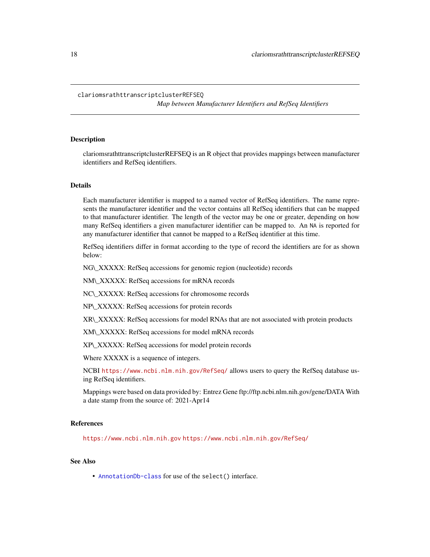#### <span id="page-17-0"></span>clariomsrathttranscriptclusterREFSEQ

*Map between Manufacturer Identifiers and RefSeq Identifiers*

# Description

clariomsrathttranscriptclusterREFSEQ is an R object that provides mappings between manufacturer identifiers and RefSeq identifiers.

## Details

Each manufacturer identifier is mapped to a named vector of RefSeq identifiers. The name represents the manufacturer identifier and the vector contains all RefSeq identifiers that can be mapped to that manufacturer identifier. The length of the vector may be one or greater, depending on how many RefSeq identifiers a given manufacturer identifier can be mapped to. An NA is reported for any manufacturer identifier that cannot be mapped to a RefSeq identifier at this time.

RefSeq identifiers differ in format according to the type of record the identifiers are for as shown below:

NG\\_XXXXX: RefSeq accessions for genomic region (nucleotide) records

NM\\_XXXXX: RefSeq accessions for mRNA records

NC\\_XXXXX: RefSeq accessions for chromosome records

NP\\_XXXXX: RefSeq accessions for protein records

XR\\_XXXXX: RefSeq accessions for model RNAs that are not associated with protein products

XM\\_XXXXX: RefSeq accessions for model mRNA records

XP\\_XXXXX: RefSeq accessions for model protein records

Where XXXXX is a sequence of integers.

NCBI <https://www.ncbi.nlm.nih.gov/RefSeq/> allows users to query the RefSeq database using RefSeq identifiers.

Mappings were based on data provided by: Entrez Gene ftp://ftp.ncbi.nlm.nih.gov/gene/DATA With a date stamp from the source of: 2021-Apr14

# References

<https://www.ncbi.nlm.nih.gov> <https://www.ncbi.nlm.nih.gov/RefSeq/>

# See Also

• [AnnotationDb-class](#page-0-0) for use of the select() interface.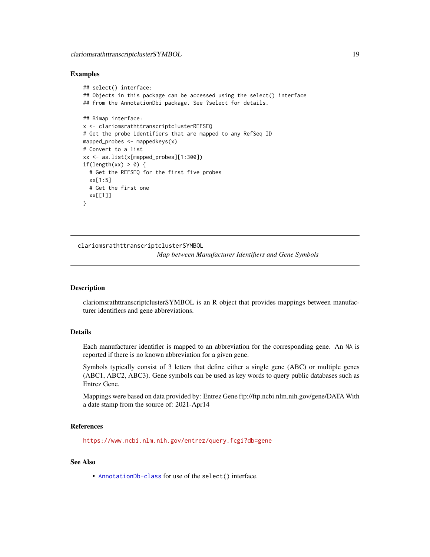#### <span id="page-18-0"></span>Examples

```
## select() interface:
## Objects in this package can be accessed using the select() interface
## from the AnnotationDbi package. See ?select for details.
## Bimap interface:
x <- clariomsrathttranscriptclusterREFSEQ
# Get the probe identifiers that are mapped to any RefSeq ID
mapped_probes <- mappedkeys(x)
# Convert to a list
xx <- as.list(x[mapped_probes][1:300])
if(length(xx) > 0) {
  # Get the REFSEQ for the first five probes
  xx[1:5]
  # Get the first one
  xx[[1]]
}
```
clariomsrathttranscriptclusterSYMBOL

*Map between Manufacturer Identifiers and Gene Symbols*

# Description

clariomsrathttranscriptclusterSYMBOL is an R object that provides mappings between manufacturer identifiers and gene abbreviations.

# Details

Each manufacturer identifier is mapped to an abbreviation for the corresponding gene. An NA is reported if there is no known abbreviation for a given gene.

Symbols typically consist of 3 letters that define either a single gene (ABC) or multiple genes (ABC1, ABC2, ABC3). Gene symbols can be used as key words to query public databases such as Entrez Gene.

Mappings were based on data provided by: Entrez Gene ftp://ftp.ncbi.nlm.nih.gov/gene/DATA With a date stamp from the source of: 2021-Apr14

# References

<https://www.ncbi.nlm.nih.gov/entrez/query.fcgi?db=gene>

#### See Also

• [AnnotationDb-class](#page-0-0) for use of the select() interface.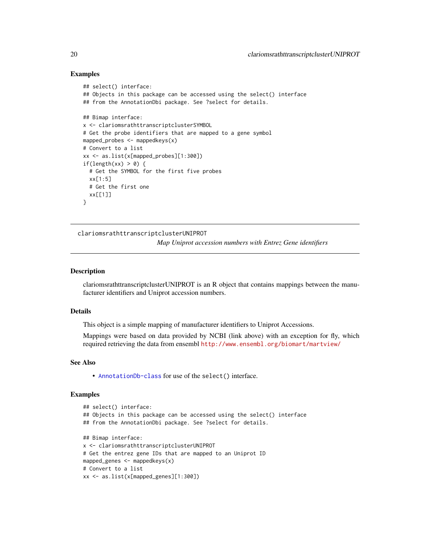#### Examples

```
## select() interface:
## Objects in this package can be accessed using the select() interface
## from the AnnotationDbi package. See ?select for details.
## Bimap interface:
x <- clariomsrathttranscriptclusterSYMBOL
# Get the probe identifiers that are mapped to a gene symbol
mapped_probes <- mappedkeys(x)
# Convert to a list
xx <- as.list(x[mapped_probes][1:300])
if(length(xx) > 0) {
  # Get the SYMBOL for the first five probes
  xx[1:5]
  # Get the first one
  xx[[1]]
}
```
clariomsrathttranscriptclusterUNIPROT *Map Uniprot accession numbers with Entrez Gene identifiers*

# **Description**

clariomsrathttranscriptclusterUNIPROT is an R object that contains mappings between the manufacturer identifiers and Uniprot accession numbers.

#### Details

This object is a simple mapping of manufacturer identifiers to Uniprot Accessions.

Mappings were based on data provided by NCBI (link above) with an exception for fly, which required retrieving the data from ensembl <http://www.ensembl.org/biomart/martview/>

#### See Also

• [AnnotationDb-class](#page-0-0) for use of the select() interface.

```
## select() interface:
## Objects in this package can be accessed using the select() interface
## from the AnnotationDbi package. See ?select for details.
## Bimap interface:
x <- clariomsrathttranscriptclusterUNIPROT
# Get the entrez gene IDs that are mapped to an Uniprot ID
mapped_genes <- mappedkeys(x)
# Convert to a list
xx <- as.list(x[mapped_genes][1:300])
```
<span id="page-19-0"></span>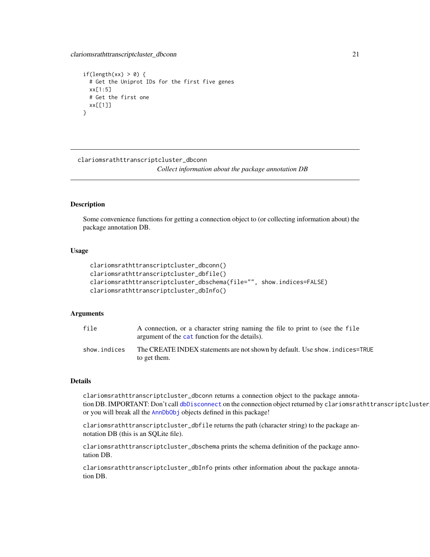```
if(length(xx) > 0) {
 # Get the Uniprot IDs for the first five genes
 xx[1:5]
 # Get the first one
 xx[[1]]
}
```
clariomsrathttranscriptcluster\_dbconn

*Collect information about the package annotation DB*

# Description

Some convenience functions for getting a connection object to (or collecting information about) the package annotation DB.

## Usage

```
clariomsrathttranscriptcluster_dbconn()
clariomsrathttranscriptcluster_dbfile()
clariomsrathttranscriptcluster_dbschema(file="", show.indices=FALSE)
clariomsrathttranscriptcluster_dbInfo()
```
# Arguments

| file         | A connection, or a character string naming the file to print to (see the file<br>argument of the cat function for the details). |
|--------------|---------------------------------------------------------------------------------------------------------------------------------|
| show.indices | The CREATE INDEX statements are not shown by default. Use show, indices=TRUE<br>to get them.                                    |

#### Details

clariomsrathttranscriptcluster\_dbconn returns a connection object to the package annotation DB. IMPORTANT: Don't call [dbDisconnect](#page-0-0) on the connection object returned by clariomsrathttranscriptcluster or you will break all the [AnnDbObj](#page-0-0) objects defined in this package!

clariomsrathttranscriptcluster\_dbfile returns the path (character string) to the package annotation DB (this is an SQLite file).

clariomsrathttranscriptcluster\_dbschema prints the schema definition of the package annotation DB.

clariomsrathttranscriptcluster\_dbInfo prints other information about the package annotation DB.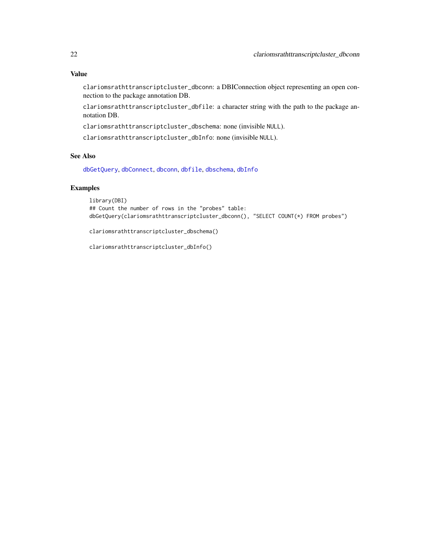# <span id="page-21-0"></span>Value

clariomsrathttranscriptcluster\_dbconn: a DBIConnection object representing an open connection to the package annotation DB.

clariomsrathttranscriptcluster\_dbfile: a character string with the path to the package annotation DB.

clariomsrathttranscriptcluster\_dbschema: none (invisible NULL).

clariomsrathttranscriptcluster\_dbInfo: none (invisible NULL).

# See Also

[dbGetQuery](#page-0-0), [dbConnect](#page-0-0), [dbconn](#page-0-0), [dbfile](#page-0-0), [dbschema](#page-0-0), [dbInfo](#page-0-0)

# Examples

library(DBI) ## Count the number of rows in the "probes" table: dbGetQuery(clariomsrathttranscriptcluster\_dbconn(), "SELECT COUNT(\*) FROM probes")

clariomsrathttranscriptcluster\_dbschema()

clariomsrathttranscriptcluster\_dbInfo()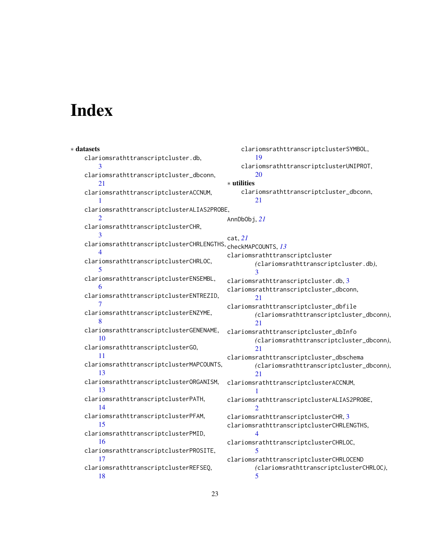# Index

∗ datasets clariomsrathttranscriptcluster.db, [3](#page-2-0) clariomsrathttranscriptcluster\_dbconn, [21](#page-20-0) clariomsrathttranscriptclusterACCNUM, [1](#page-0-1) clariomsrathttranscriptclusterALIAS2PROBE, [2](#page-1-0) clariomsrathttranscriptclusterCHR, [3](#page-2-0) clariomsrathttranscriptclusterCHRLENGTHS, [4](#page-3-0) clariomsrathttranscriptclusterCHRLOC, [5](#page-4-0) clariomsrathttranscriptclusterENSEMBL, [6](#page-5-0) clariomsrathttranscriptclusterENTREZID, [7](#page-6-0) clariomsrathttranscriptclusterENZYME, [8](#page-7-0) clariomsrathttranscriptclusterGENENAME, [10](#page-9-0) clariomsrathttranscriptclusterGO, [11](#page-10-1) clariomsrathttranscriptclusterMAPCOUNTS, [13](#page-12-0) clariomsrathttranscriptclusterORGANISM, [13](#page-12-0) clariomsrathttranscriptclusterPATH, [14](#page-13-0) clariomsrathttranscriptclusterPFAM, [15](#page-14-0) clariomsrathttranscriptclusterPMID, [16](#page-15-0) clariomsrathttranscriptclusterPROSITE, [17](#page-16-0) clariomsrathttranscriptclusterREFSEQ, [18](#page-17-0) clariomsrathttranscriptclusterSYMBOL, [19](#page-18-0) clariomsrathttranscriptclusterUNIPROT, [20](#page-19-0) ∗ utilities clariomsrathttranscriptcluster\_dbconn, [21](#page-20-0) AnnDbObj, *[21](#page-20-0)* cat, *[21](#page-20-0)* checkMAPCOUNTS, *[13](#page-12-0)* clariomsrathttranscriptcluster *(*clariomsrathttranscriptcluster.db*)*, [3](#page-2-0) clariomsrathttranscriptcluster.db, [3](#page-2-0) clariomsrathttranscriptcluster\_dbconn, [21](#page-20-0) clariomsrathttranscriptcluster\_dbfile *(*clariomsrathttranscriptcluster\_dbconn*)*, [21](#page-20-0) clariomsrathttranscriptcluster\_dbInfo *(*clariomsrathttranscriptcluster\_dbconn*)*, [21](#page-20-0) clariomsrathttranscriptcluster\_dbschema *(*clariomsrathttranscriptcluster\_dbconn*)*, [21](#page-20-0) clariomsrathttranscriptclusterACCNUM, [1](#page-0-1) clariomsrathttranscriptclusterALIAS2PROBE, [2](#page-1-0) clariomsrathttranscriptclusterCHR, [3](#page-2-0) clariomsrathttranscriptclusterCHRLENGTHS, [4](#page-3-0) clariomsrathttranscriptclusterCHRLOC, [5](#page-4-0) clariomsrathttranscriptclusterCHRLOCEND *(*clariomsrathttranscriptclusterCHRLOC*)*, [5](#page-4-0)